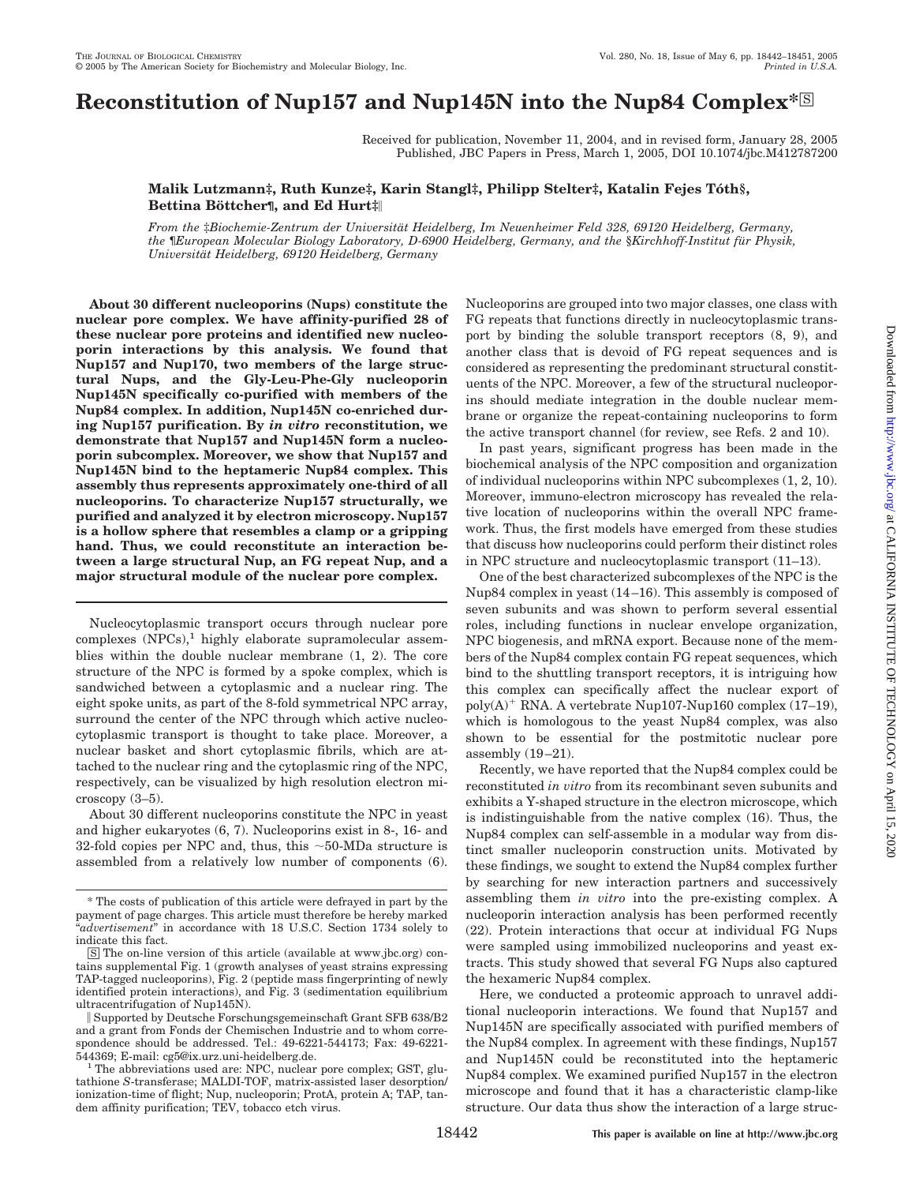# **Reconstitution of Nup157 and Nup145N into the Nup84 Complex<sup>\*</sup><sup>⊠</sup>**

Received for publication, November 11, 2004, and in revised form, January 28, 2005 Published, JBC Papers in Press, March 1, 2005, DOI 10.1074/jbc.M412787200

### Malik Lutzmann‡, Ruth Kunze‡, Karin Stangl‡, Philipp Stelter‡, Katalin Fejes Tóth§, **Bettina Böttcher¶**, and Ed Hurt‡

*From the* ‡*Biochemie-Zentrum der Universita¨ t Heidelberg, Im Neuenheimer Feld 328, 69120 Heidelberg, Germany, the* ¶*European Molecular Biology Laboratory, D-6900 Heidelberg, Germany, and the* §*Kirchhoff-Institut fu¨ r Physik, Universita¨ t Heidelberg, 69120 Heidelberg, Germany*

**About 30 different nucleoporins (Nups) constitute the nuclear pore complex. We have affinity-purified 28 of these nuclear pore proteins and identified new nucleoporin interactions by this analysis. We found that Nup157 and Nup170, two members of the large structural Nups, and the Gly-Leu-Phe-Gly nucleoporin Nup145N specifically co-purified with members of the Nup84 complex. In addition, Nup145N co-enriched during Nup157 purification. By** *in vitro* **reconstitution, we demonstrate that Nup157 and Nup145N form a nucleoporin subcomplex. Moreover, we show that Nup157 and Nup145N bind to the heptameric Nup84 complex. This assembly thus represents approximately one-third of all nucleoporins. To characterize Nup157 structurally, we purified and analyzed it by electron microscopy. Nup157 is a hollow sphere that resembles a clamp or a gripping hand. Thus, we could reconstitute an interaction between a large structural Nup, an FG repeat Nup, and a major structural module of the nuclear pore complex.**

Nucleocytoplasmic transport occurs through nuclear pore  $complexes (NPCs),<sup>1</sup>$  highly elaborate supramolecular assemblies within the double nuclear membrane (1, 2). The core structure of the NPC is formed by a spoke complex, which is sandwiched between a cytoplasmic and a nuclear ring. The eight spoke units, as part of the 8-fold symmetrical NPC array, surround the center of the NPC through which active nucleocytoplasmic transport is thought to take place. Moreover, a nuclear basket and short cytoplasmic fibrils, which are attached to the nuclear ring and the cytoplasmic ring of the NPC, respectively, can be visualized by high resolution electron microscopy (3–5).

About 30 different nucleoporins constitute the NPC in yeast and higher eukaryotes (6, 7). Nucleoporins exist in 8-, 16- and 32-fold copies per NPC and, thus, this  $\sim$  50-MDa structure is assembled from a relatively low number of components (6). Nucleoporins are grouped into two major classes, one class with FG repeats that functions directly in nucleocytoplasmic transport by binding the soluble transport receptors (8, 9), and another class that is devoid of FG repeat sequences and is considered as representing the predominant structural constituents of the NPC. Moreover, a few of the structural nucleoporins should mediate integration in the double nuclear membrane or organize the repeat-containing nucleoporins to form the active transport channel (for review, see Refs. 2 and 10).

In past years, significant progress has been made in the biochemical analysis of the NPC composition and organization of individual nucleoporins within NPC subcomplexes (1, 2, 10). Moreover, immuno-electron microscopy has revealed the relative location of nucleoporins within the overall NPC framework. Thus, the first models have emerged from these studies that discuss how nucleoporins could perform their distinct roles in NPC structure and nucleocytoplasmic transport (11–13).

One of the best characterized subcomplexes of the NPC is the Nup84 complex in yeast (14 –16). This assembly is composed of seven subunits and was shown to perform several essential roles, including functions in nuclear envelope organization, NPC biogenesis, and mRNA export. Because none of the members of the Nup84 complex contain FG repeat sequences, which bind to the shuttling transport receptors, it is intriguing how this complex can specifically affect the nuclear export of poly(A)<sup>+</sup> RNA. A vertebrate Nup107-Nup160 complex (17-19), which is homologous to the yeast Nup84 complex, was also shown to be essential for the postmitotic nuclear pore assembly  $(19-21)$ .

Recently, we have reported that the Nup84 complex could be reconstituted *in vitro* from its recombinant seven subunits and exhibits a Y-shaped structure in the electron microscope, which is indistinguishable from the native complex (16). Thus, the Nup84 complex can self-assemble in a modular way from distinct smaller nucleoporin construction units. Motivated by these findings, we sought to extend the Nup84 complex further by searching for new interaction partners and successively assembling them *in vitro* into the pre-existing complex. A nucleoporin interaction analysis has been performed recently (22). Protein interactions that occur at individual FG Nups were sampled using immobilized nucleoporins and yeast extracts. This study showed that several FG Nups also captured the hexameric Nup84 complex.

Here, we conducted a proteomic approach to unravel additional nucleoporin interactions. We found that Nup157 and Nup145N are specifically associated with purified members of the Nup84 complex. In agreement with these findings, Nup157 and Nup145N could be reconstituted into the heptameric Nup84 complex. We examined purified Nup157 in the electron microscope and found that it has a characteristic clamp-like structure. Our data thus show the interaction of a large struc-

<sup>\*</sup> The costs of publication of this article were defrayed in part by the payment of page charges. This article must therefore be hereby marked "*advertisement*" in accordance with 18 U.S.C. Section 1734 solely to indicate this fact.

<sup>□</sup>S The on-line version of this article (available at www.jbc.org) contains supplemental Fig. 1 (growth analyses of yeast strains expressing TAP-tagged nucleoporins), Fig. 2 (peptide mass fingerprinting of newly identified protein interactions), and Fig. 3 (sedimentation equilibrium ultracentrifugation of Nup145N).

Supported by Deutsche Forschungsgemeinschaft Grant SFB 638/B2 and a grant from Fonds der Chemischen Industrie and to whom correspondence should be addressed. Tel.: 49-6221-544173; Fax: 49-6221-

<sup>544369;</sup> E-mail: cg5@ix.urz.uni-heidelberg.de.<br><sup>1</sup> The abbreviations used are: NPC, nuclear pore complex; GST, glutathione *S*-transferase; MALDI-TOF, matrix-assisted laser desorption/ ionization-time of flight; Nup, nucleoporin; ProtA, protein A; TAP, tandem affinity purification; TEV, tobacco etch virus.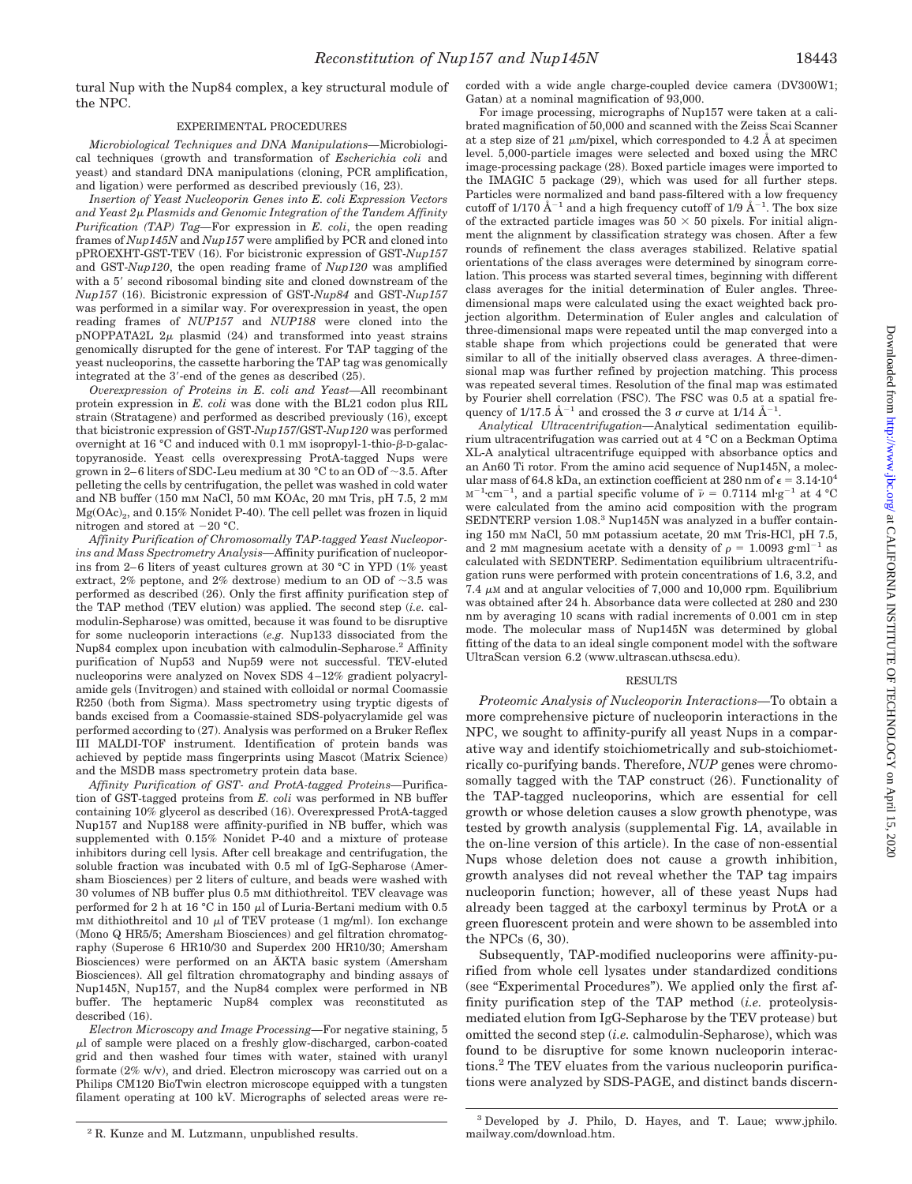tural Nup with the Nup84 complex, a key structural module of the NPC.

### EXPERIMENTAL PROCEDURES

*Microbiological Techniques and DNA Manipulations—*Microbiological techniques (growth and transformation of *Escherichia coli* and yeast) and standard DNA manipulations (cloning, PCR amplification, and ligation) were performed as described previously (16, 23).

*Insertion of Yeast Nucleoporin Genes into E. coli Expression Vectors and Yeast 2 Plasmids and Genomic Integration of the Tandem Affinity Purification (TAP) Tag—*For expression in *E. coli*, the open reading frames of *Nup145N* and *Nup157* were amplified by PCR and cloned into pPROEXHT-GST-TEV (16). For bicistronic expression of GST-*Nup157* and GST-*Nup120*, the open reading frame of *Nup120* was amplified with a 5' second ribosomal binding site and cloned downstream of the *Nup157* (16). Bicistronic expression of GST-*Nup84* and GST-*Nup157* was performed in a similar way. For overexpression in yeast, the open reading frames of *NUP157* and *NUP188* were cloned into the pNOPPATA2L  $2\mu$  plasmid (24) and transformed into yeast strains genomically disrupted for the gene of interest. For TAP tagging of the yeast nucleoporins, the cassette harboring the TAP tag was genomically integrated at the 3'-end of the genes as described  $(25)$ .

*Overexpression of Proteins in E. coli and Yeast—*All recombinant protein expression in *E. coli* was done with the BL21 codon plus RIL strain (Stratagene) and performed as described previously (16), except that bicistronic expression of GST-*Nup157*/GST-*Nup120* was performed overnight at 16  $^{\circ}$ C and induced with 0.1 mm isopropyl-1-thio- $\beta$ -D-galactopyranoside. Yeast cells overexpressing ProtA-tagged Nups were grown in 2–6 liters of SDC-Leu medium at 30 °C to an OD of  $\sim$ 3.5. After pelleting the cells by centrifugation, the pellet was washed in cold water and NB buffer (150 mM NaCl, 50 mM KOAc, 20 mM Tris, pH 7.5, 2 mM  $Mg(OAc)_2$ , and 0.15% Nonidet P-40). The cell pellet was frozen in liquid nitrogen and stored at  $-20$  °C.

*Affinity Purification of Chromosomally TAP-tagged Yeast Nucleoporins and Mass Spectrometry Analysis—*Affinity purification of nucleoporins from 2–6 liters of yeast cultures grown at 30  $^{\circ}$ C in YPD (1% yeast extract, 2% peptone, and 2% dextrose) medium to an OD of  $\sim$ 3.5 was performed as described (26). Only the first affinity purification step of the TAP method (TEV elution) was applied. The second step (*i.e.* calmodulin-Sepharose) was omitted, because it was found to be disruptive for some nucleoporin interactions (*e.g.* Nup133 dissociated from the Nup84 complex upon incubation with calmodulin-Sepharose.<sup>2</sup> Affinity purification of Nup53 and Nup59 were not successful. TEV-eluted nucleoporins were analyzed on Novex SDS 4 –12% gradient polyacrylamide gels (Invitrogen) and stained with colloidal or normal Coomassie R250 (both from Sigma). Mass spectrometry using tryptic digests of bands excised from a Coomassie-stained SDS-polyacrylamide gel was performed according to (27). Analysis was performed on a Bruker Reflex III MALDI-TOF instrument. Identification of protein bands was achieved by peptide mass fingerprints using Mascot (Matrix Science) and the MSDB mass spectrometry protein data base.

*Affinity Purification of GST- and ProtA-tagged Proteins—*Purification of GST-tagged proteins from *E. coli* was performed in NB buffer containing 10% glycerol as described (16). Overexpressed ProtA-tagged Nup157 and Nup188 were affinity-purified in NB buffer, which was supplemented with 0.15% Nonidet P-40 and a mixture of protease inhibitors during cell lysis. After cell breakage and centrifugation, the soluble fraction was incubated with 0.5 ml of IgG-Sepharose (Amersham Biosciences) per 2 liters of culture, and beads were washed with 30 volumes of NB buffer plus 0.5 mM dithiothreitol. TEV cleavage was performed for 2 h at 16 °C in 150  $\mu$ l of Luria-Bertani medium with 0.5 mM dithiothreitol and 10  $\mu$ l of TEV protease (1 mg/ml). Ion exchange (Mono Q HR5/5; Amersham Biosciences) and gel filtration chromatography (Superose 6 HR10/30 and Superdex 200 HR10/30; Amersham Biosciences) were performed on an ÄKTA basic system (Amersham Biosciences). All gel filtration chromatography and binding assays of Nup145N, Nup157, and the Nup84 complex were performed in NB buffer. The heptameric Nup84 complex was reconstituted as described (16).

*Electron Microscopy and Image Processing—*For negative staining, 5 l of sample were placed on a freshly glow-discharged, carbon-coated grid and then washed four times with water, stained with uranyl formate (2% w/v), and dried. Electron microscopy was carried out on a Philips CM120 BioTwin electron microscope equipped with a tungsten filament operating at 100 kV. Micrographs of selected areas were recorded with a wide angle charge-coupled device camera (DV300W1; Gatan) at a nominal magnification of 93,000.

For image processing, micrographs of Nup157 were taken at a calibrated magnification of 50,000 and scanned with the Zeiss Scai Scanner at a step size of 21  $\mu$ m/pixel, which corresponded to 4.2 Å at specimen level. 5,000-particle images were selected and boxed using the MRC image-processing package (28). Boxed particle images were imported to the IMAGIC 5 package (29), which was used for all further steps. Particles were normalized and band pass-filtered with a low frequency cutoff of 1/170  $\AA^{-1}$  and a high frequency cutoff of 1/9  $\AA^{-1}$ . The box size of the extracted particle images was  $50 \times 50$  pixels. For initial alignment the alignment by classification strategy was chosen. After a few rounds of refinement the class averages stabilized. Relative spatial orientations of the class averages were determined by sinogram correlation. This process was started several times, beginning with different class averages for the initial determination of Euler angles. Threedimensional maps were calculated using the exact weighted back projection algorithm. Determination of Euler angles and calculation of three-dimensional maps were repeated until the map converged into a stable shape from which projections could be generated that were similar to all of the initially observed class averages. A three-dimensional map was further refined by projection matching. This process was repeated several times. Resolution of the final map was estimated by Fourier shell correlation (FSC). The FSC was 0.5 at a spatial frequency of 1/17.5  $\AA^{-1}$  and crossed the 3  $\sigma$  curve at 1/14  $\AA^{-1}$ .

*Analytical Ultracentrifugation—*Analytical sedimentation equilibrium ultracentrifugation was carried out at 4 °C on a Beckman Optima XL-A analytical ultracentrifuge equipped with absorbance optics and an An60 Ti rotor. From the amino acid sequence of Nup145N, a molecular mass of 64.8 kDa, an extinction coefficient at 280 nm of  $\epsilon = 3.14 \cdot 10^4$  $\text{M}^{-1}$ ·cm<sup>-1</sup>, and a partial specific volume of  $\bar{\nu} = 0.7114 \text{ ml·g}^{-1}$  at 4 °C were calculated from the amino acid composition with the program SEDNTERP version 1.08.<sup>3</sup> Nup145N was analyzed in a buffer containing 150 mM NaCl, 50 mM potassium acetate, 20 mM Tris-HCl, pH 7.5, and 2 mM magnesium acetate with a density of  $\rho = 1.0093$  g·ml<sup>-1</sup> as calculated with SEDNTERP. Sedimentation equilibrium ultracentrifugation runs were performed with protein concentrations of 1.6, 3.2, and 7.4  $\mu$ M and at angular velocities of 7,000 and 10,000 rpm. Equilibrium was obtained after 24 h. Absorbance data were collected at 280 and 230 nm by averaging 10 scans with radial increments of 0.001 cm in step mode. The molecular mass of Nup145N was determined by global fitting of the data to an ideal single component model with the software UltraScan version 6.2 (www.ultrascan.uthscsa.edu).

### RESULTS

*Proteomic Analysis of Nucleoporin Interactions—*To obtain a more comprehensive picture of nucleoporin interactions in the NPC, we sought to affinity-purify all yeast Nups in a comparative way and identify stoichiometrically and sub-stoichiometrically co-purifying bands. Therefore, *NUP* genes were chromosomally tagged with the TAP construct (26). Functionality of the TAP-tagged nucleoporins, which are essential for cell growth or whose deletion causes a slow growth phenotype, was tested by growth analysis (supplemental Fig. 1*A*, available in the on-line version of this article). In the case of non-essential Nups whose deletion does not cause a growth inhibition, growth analyses did not reveal whether the TAP tag impairs nucleoporin function; however, all of these yeast Nups had already been tagged at the carboxyl terminus by ProtA or a green fluorescent protein and were shown to be assembled into the NPCs (6, 30).

Subsequently, TAP-modified nucleoporins were affinity-purified from whole cell lysates under standardized conditions (see "Experimental Procedures"). We applied only the first affinity purification step of the TAP method (*i.e.* proteolysismediated elution from IgG-Sepharose by the TEV protease) but omitted the second step (*i.e.* calmodulin-Sepharose), which was found to be disruptive for some known nucleoporin interactions.2 The TEV eluates from the various nucleoporin purifications were analyzed by SDS-PAGE, and distinct bands discern-

<sup>2</sup> R. Kunze and M. Lutzmann, unpublished results.

<sup>3</sup> Developed by J. Philo, D. Hayes, and T. Laue; www.jphilo. mailway.com/download.htm.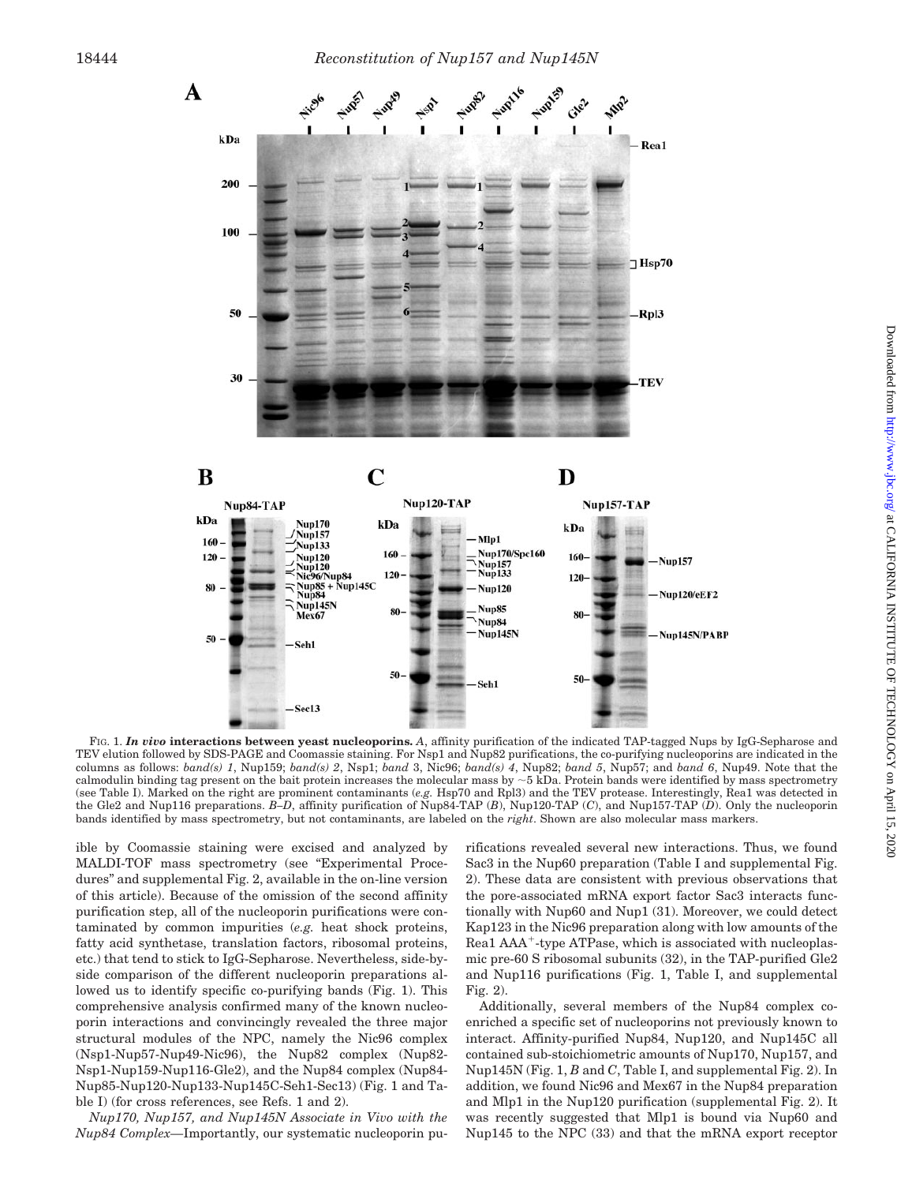

FIG. 1. *In vivo* **interactions between yeast nucleoporins.** *A*, affinity purification of the indicated TAP-tagged Nups by IgG-Sepharose and TEV elution followed by SDS-PAGE and Coomassie staining. For Nsp1 and Nup82 purifications, the co-purifying nucleoporins are indicated in the columns as follows: *band(s) 1*, Nup159; *band(s) 2*, Nsp1; *band* 3, Nic96; *band(s) 4*, Nup82; *band 5*, Nup57; and *band 6*, Nup49. Note that the calmodulin binding tag present on the bait protein increases the molecular mass by  $\sim$  5 kDa. Protein bands were identified by mass spectrometry (see Table I). Marked on the right are prominent contaminants (*e.g.* Hsp70 and Rpl3) and the TEV protease. Interestingly, Rea1 was detected in the Gle2 and Nup116 preparations. *B–D*, affinity purification of Nup84-TAP (*B*), Nup120-TAP (*C*), and Nup157-TAP (*D*). Only the nucleoporin bands identified by mass spectrometry, but not contaminants, are labeled on the *right*. Shown are also molecular mass markers.

ible by Coomassie staining were excised and analyzed by MALDI-TOF mass spectrometry (see "Experimental Procedures" and supplemental Fig. 2, available in the on-line version of this article). Because of the omission of the second affinity purification step, all of the nucleoporin purifications were contaminated by common impurities (*e.g.* heat shock proteins, fatty acid synthetase, translation factors, ribosomal proteins, etc.) that tend to stick to IgG-Sepharose. Nevertheless, side-byside comparison of the different nucleoporin preparations allowed us to identify specific co-purifying bands (Fig. 1). This comprehensive analysis confirmed many of the known nucleoporin interactions and convincingly revealed the three major structural modules of the NPC, namely the Nic96 complex (Nsp1-Nup57-Nup49-Nic96), the Nup82 complex (Nup82- Nsp1-Nup159-Nup116-Gle2), and the Nup84 complex (Nup84- Nup85-Nup120-Nup133-Nup145C-Seh1-Sec13) (Fig. 1 and Table I) (for cross references, see Refs. 1 and 2).

*Nup170, Nup157, and Nup145N Associate in Vivo with the Nup84 Complex—*Importantly, our systematic nucleoporin purifications revealed several new interactions. Thus, we found Sac3 in the Nup60 preparation (Table I and supplemental Fig. 2). These data are consistent with previous observations that the pore-associated mRNA export factor Sac3 interacts functionally with Nup60 and Nup1 (31). Moreover, we could detect Kap123 in the Nic96 preparation along with low amounts of the Rea1 AAA<sup>+</sup>-type ATPase, which is associated with nucleoplasmic pre-60 S ribosomal subunits (32), in the TAP-purified Gle2 and Nup116 purifications (Fig. 1, Table I, and supplemental Fig. 2).

Additionally, several members of the Nup84 complex coenriched a specific set of nucleoporins not previously known to interact. Affinity-purified Nup84, Nup120, and Nup145C all contained sub-stoichiometric amounts of Nup170, Nup157, and Nup145N (Fig. 1, *B* and *C*, Table I, and supplemental Fig. 2). In addition, we found Nic96 and Mex67 in the Nup84 preparation and Mlp1 in the Nup120 purification (supplemental Fig. 2). It was recently suggested that Mlp1 is bound via Nup60 and Nup145 to the NPC (33) and that the mRNA export receptor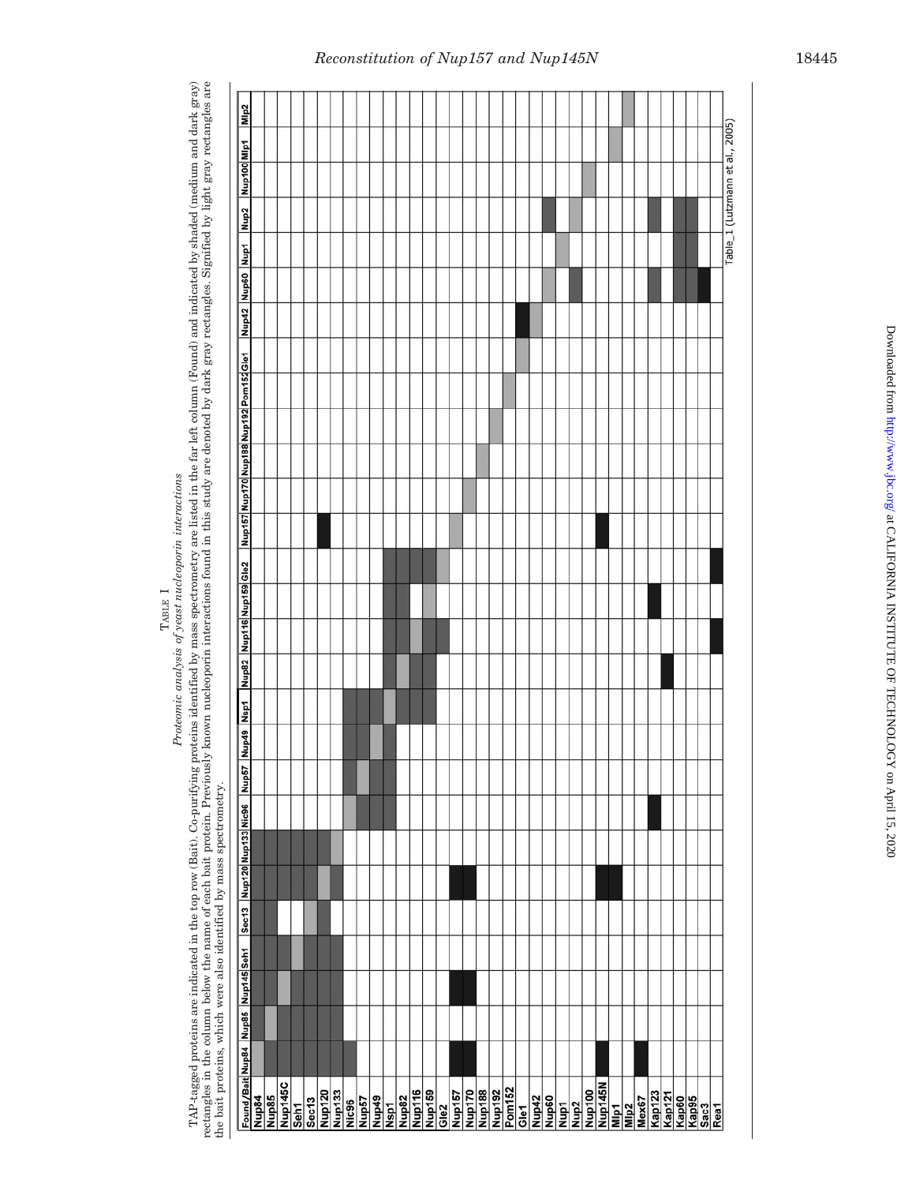Proteomic analysis of yeast nucleoporin interactions *Proteomic analysis of yeast nucleoporin interactions* TABLE I

TAP-tagged proteins are indicated in the top row (Bait). Co-purifying proteins identified by mass spectrometry are listed in the far left column (Found) and indicated by shaded (medium and dark gray)<br>rectangles in the colu TAP-tagged proteins are indicated in the top row (Bait). Co-purifying proteins identified by mass spectrometry are listed in the far left column (Found) and indicated by shaded (medium and dark gray) rectangles in the column below the name of each bait protein. Previously known nucleoporin interactions found in this study are denoted by dark gray rectangles. Signified by light gray rectangles are the bait proteins, which were also identified by mass spectrometry.

## *Reconstitution of Nup157 and Nup145N* 18445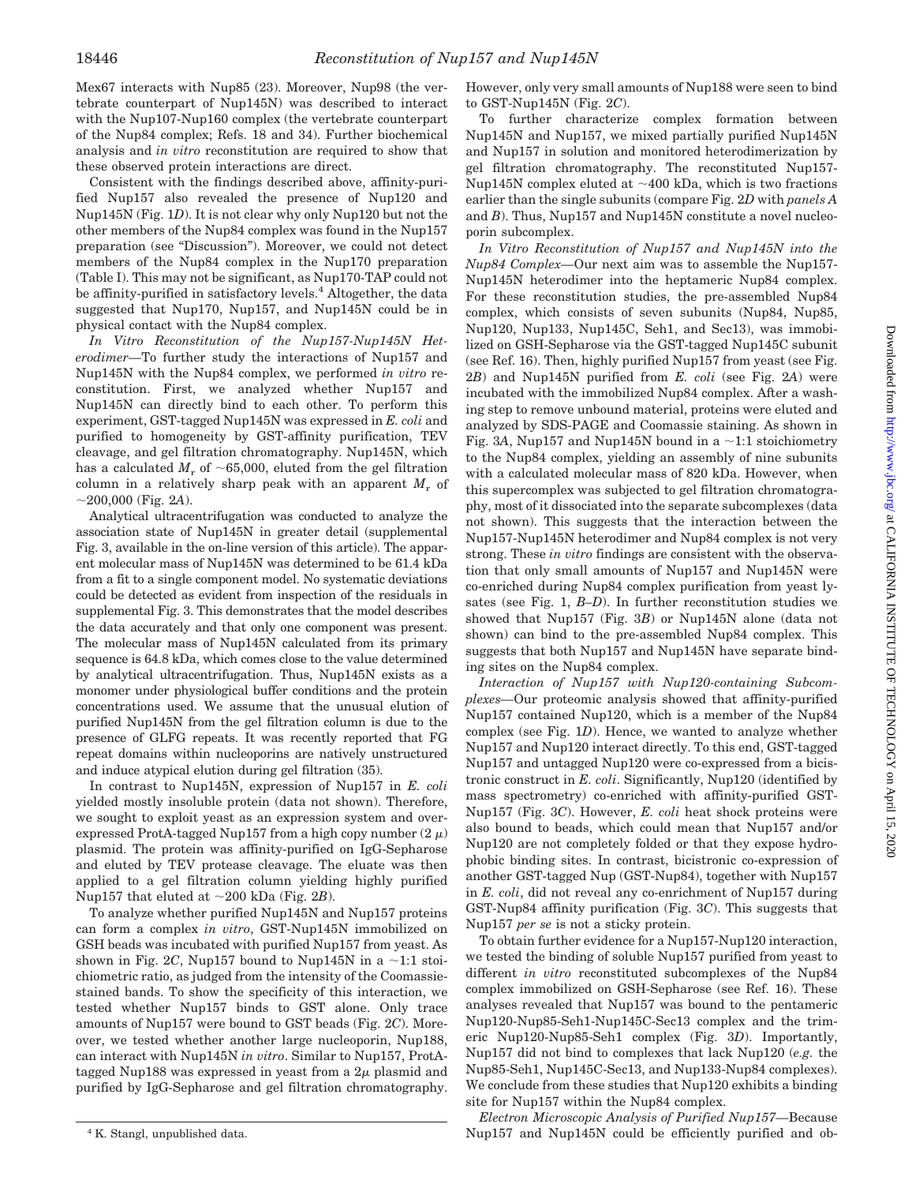Mex67 interacts with Nup85 (23). Moreover, Nup98 (the vertebrate counterpart of Nup145N) was described to interact with the Nup107-Nup160 complex (the vertebrate counterpart of the Nup84 complex; Refs. 18 and 34). Further biochemical analysis and *in vitro* reconstitution are required to show that these observed protein interactions are direct.

Consistent with the findings described above, affinity-purified Nup157 also revealed the presence of Nup120 and Nup145N (Fig. 1*D*). It is not clear why only Nup120 but not the other members of the Nup84 complex was found in the Nup157 preparation (see "Discussion"). Moreover, we could not detect members of the Nup84 complex in the Nup170 preparation (Table I). This may not be significant, as Nup170-TAP could not be affinity-purified in satisfactory levels.<sup>4</sup> Altogether, the data suggested that Nup170, Nup157, and Nup145N could be in physical contact with the Nup84 complex.

*In Vitro Reconstitution of the Nup157-Nup145N Heterodimer—*To further study the interactions of Nup157 and Nup145N with the Nup84 complex, we performed *in vitro* reconstitution. First, we analyzed whether Nup157 and Nup145N can directly bind to each other. To perform this experiment, GST-tagged Nup145N was expressed in *E. coli* and purified to homogeneity by GST-affinity purification, TEV cleavage, and gel filtration chromatography. Nup145N, which has a calculated  $M_r$  of  $\sim 65,000$ , eluted from the gel filtration column in a relatively sharp peak with an apparent  $M_r$  of  $\sim$ 200,000 (Fig. 2*A*).

Analytical ultracentrifugation was conducted to analyze the association state of Nup145N in greater detail (supplemental Fig. 3, available in the on-line version of this article). The apparent molecular mass of Nup145N was determined to be 61.4 kDa from a fit to a single component model. No systematic deviations could be detected as evident from inspection of the residuals in supplemental Fig. 3. This demonstrates that the model describes the data accurately and that only one component was present. The molecular mass of Nup145N calculated from its primary sequence is 64.8 kDa, which comes close to the value determined by analytical ultracentrifugation. Thus, Nup145N exists as a monomer under physiological buffer conditions and the protein concentrations used. We assume that the unusual elution of purified Nup145N from the gel filtration column is due to the presence of GLFG repeats. It was recently reported that FG repeat domains within nucleoporins are natively unstructured and induce atypical elution during gel filtration (35).

In contrast to Nup145N, expression of Nup157 in *E. coli* yielded mostly insoluble protein (data not shown). Therefore, we sought to exploit yeast as an expression system and overexpressed ProtA-tagged Nup157 from a high copy number  $(2 \mu)$ plasmid. The protein was affinity-purified on IgG-Sepharose and eluted by TEV protease cleavage. The eluate was then applied to a gel filtration column yielding highly purified Nup157 that eluted at  $\sim$ 200 kDa (Fig. 2*B*).

To analyze whether purified Nup145N and Nup157 proteins can form a complex *in vitro*, GST-Nup145N immobilized on GSH beads was incubated with purified Nup157 from yeast. As shown in Fig. 2C, Nup157 bound to Nup145N in a  $\sim$ 1:1 stoichiometric ratio, as judged from the intensity of the Coomassiestained bands. To show the specificity of this interaction, we tested whether Nup157 binds to GST alone. Only trace amounts of Nup157 were bound to GST beads (Fig. 2*C*). Moreover, we tested whether another large nucleoporin, Nup188, can interact with Nup145N *in vitro*. Similar to Nup157, ProtAtagged Nup188 was expressed in yeast from a  $2\mu$  plasmid and purified by IgG-Sepharose and gel filtration chromatography.

However, only very small amounts of Nup188 were seen to bind to GST-Nup145N (Fig. 2*C*).

To further characterize complex formation between Nup145N and Nup157, we mixed partially purified Nup145N and Nup157 in solution and monitored heterodimerization by gel filtration chromatography. The reconstituted Nup157- Nup145N complex eluted at  $\sim$ 400 kDa, which is two fractions earlier than the single subunits (compare Fig. 2*D* with *panels A* and *B*). Thus, Nup157 and Nup145N constitute a novel nucleoporin subcomplex.

*In Vitro Reconstitution of Nup157 and Nup145N into the Nup84 Complex—*Our next aim was to assemble the Nup157- Nup145N heterodimer into the heptameric Nup84 complex. For these reconstitution studies, the pre-assembled Nup84 complex, which consists of seven subunits (Nup84, Nup85, Nup120, Nup133, Nup145C, Seh1, and Sec13), was immobilized on GSH-Sepharose via the GST-tagged Nup145C subunit (see Ref. 16). Then, highly purified Nup157 from yeast (see Fig. 2*B*) and Nup145N purified from *E. coli* (see Fig. 2*A*) were incubated with the immobilized Nup84 complex. After a washing step to remove unbound material, proteins were eluted and analyzed by SDS-PAGE and Coomassie staining. As shown in Fig. 3A, Nup157 and Nup145N bound in a  $\sim$ 1:1 stoichiometry to the Nup84 complex, yielding an assembly of nine subunits with a calculated molecular mass of 820 kDa. However, when this supercomplex was subjected to gel filtration chromatography, most of it dissociated into the separate subcomplexes (data not shown). This suggests that the interaction between the Nup157-Nup145N heterodimer and Nup84 complex is not very strong. These *in vitro* findings are consistent with the observation that only small amounts of Nup157 and Nup145N were co-enriched during Nup84 complex purification from yeast lysates (see Fig. 1, *B–D*). In further reconstitution studies we showed that Nup157 (Fig. 3*B*) or Nup145N alone (data not shown) can bind to the pre-assembled Nup84 complex. This suggests that both Nup157 and Nup145N have separate binding sites on the Nup84 complex.

*Interaction of Nup157 with Nup120-containing Subcomplexes—*Our proteomic analysis showed that affinity-purified Nup157 contained Nup120, which is a member of the Nup84 complex (see Fig. 1*D*). Hence, we wanted to analyze whether Nup157 and Nup120 interact directly. To this end, GST-tagged Nup157 and untagged Nup120 were co-expressed from a bicistronic construct in *E. coli*. Significantly, Nup120 (identified by mass spectrometry) co-enriched with affinity-purified GST-Nup157 (Fig. 3*C*). However, *E. coli* heat shock proteins were also bound to beads, which could mean that Nup157 and/or Nup120 are not completely folded or that they expose hydrophobic binding sites. In contrast, bicistronic co-expression of another GST-tagged Nup (GST-Nup84), together with Nup157 in *E. coli*, did not reveal any co-enrichment of Nup157 during GST-Nup84 affinity purification (Fig. 3*C*). This suggests that Nup157 *per se* is not a sticky protein.

To obtain further evidence for a Nup157-Nup120 interaction, we tested the binding of soluble Nup157 purified from yeast to different *in vitro* reconstituted subcomplexes of the Nup84 complex immobilized on GSH-Sepharose (see Ref. 16). These analyses revealed that Nup157 was bound to the pentameric Nup120-Nup85-Seh1-Nup145C-Sec13 complex and the trimeric Nup120-Nup85-Seh1 complex (Fig. 3*D*). Importantly, Nup157 did not bind to complexes that lack Nup120 (*e.g.* the Nup85-Seh1, Nup145C-Sec13, and Nup133-Nup84 complexes). We conclude from these studies that Nup120 exhibits a binding site for Nup157 within the Nup84 complex.

*Electron Microscopic Analysis of Purified Nup157—*Because <sup>4</sup> K. Stangl, unpublished data.  $Nup157$  and  $Nup145N$  could be efficiently purified and ob-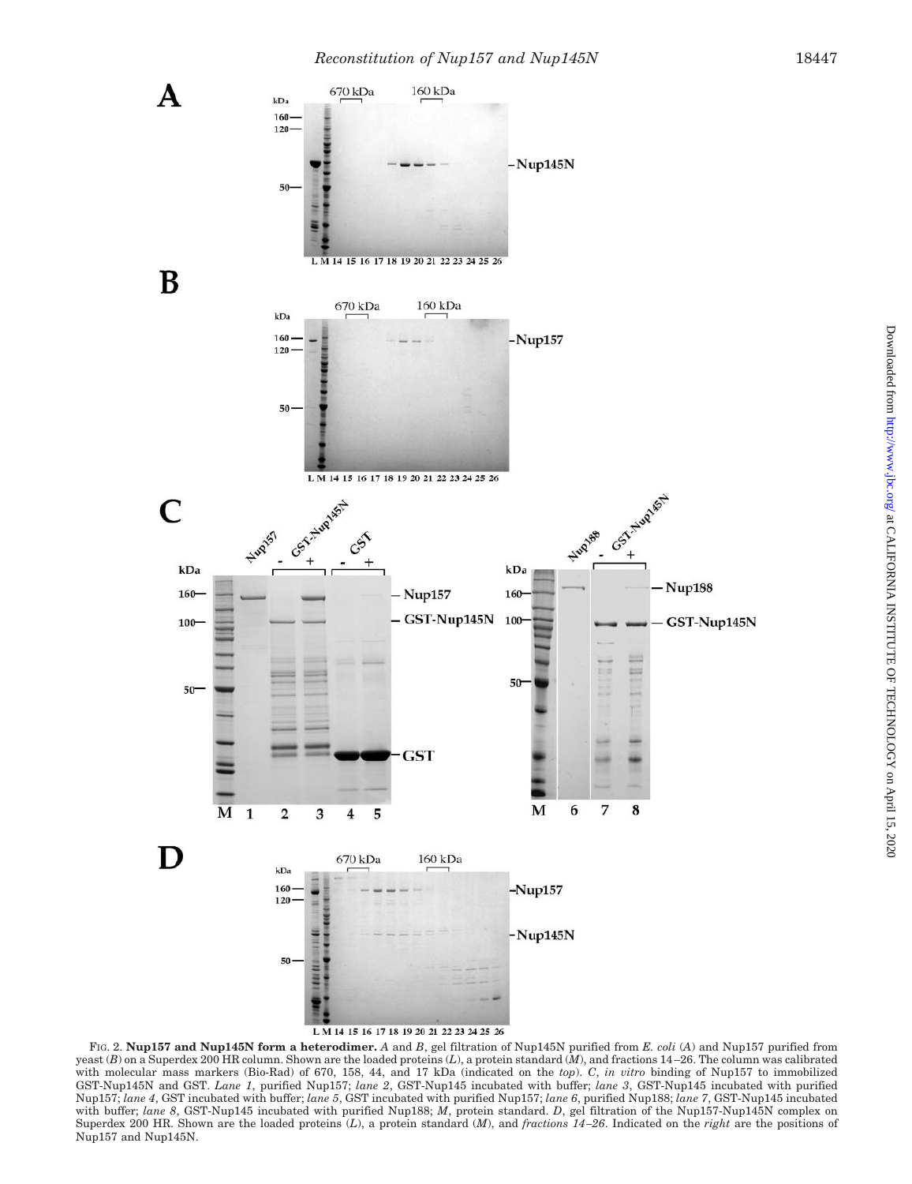

FIG. 2. **Nup157 and Nup145N form a heterodimer.** *A* and *B*, gel filtration of Nup145N purified from *E. coli* (*A*) and Nup157 purified from yeast (*B*) on a Superdex 200 HR column. Shown are the loaded proteins (*L*), a protein standard (*M*), and fractions 14 –26. The column was calibrated with molecular mass markers (Bio-Rad) of 670, 158, 44, and 17 kDa (indicated on the *top*). *C*, *in vitro* binding of Nup157 to immobilized GST-Nup145N and GST. *Lane 1*, purified Nup157; *lane 2*, GST-Nup145 incubated with buffer; *lane 3*, GST-Nup145 incubated with purified Nup157; *lane 4*, GST incubated with buffer; *lane 5*, GST incubated with purified Nup157; *lane 6*, purified Nup188; *lane 7*, GST-Nup145 incubated with buffer; *lane 8*, GST-Nup145 incubated with purified Nup188; *M*, protein standard. *D*, gel filtration of the Nup157-Nup145N complex on Superdex 200 HR. Shown are the loaded proteins (*L*), a protein standard (*M*), and *fractions 14 –26*. Indicated on the *right* are the positions of Nup157 and Nup145N.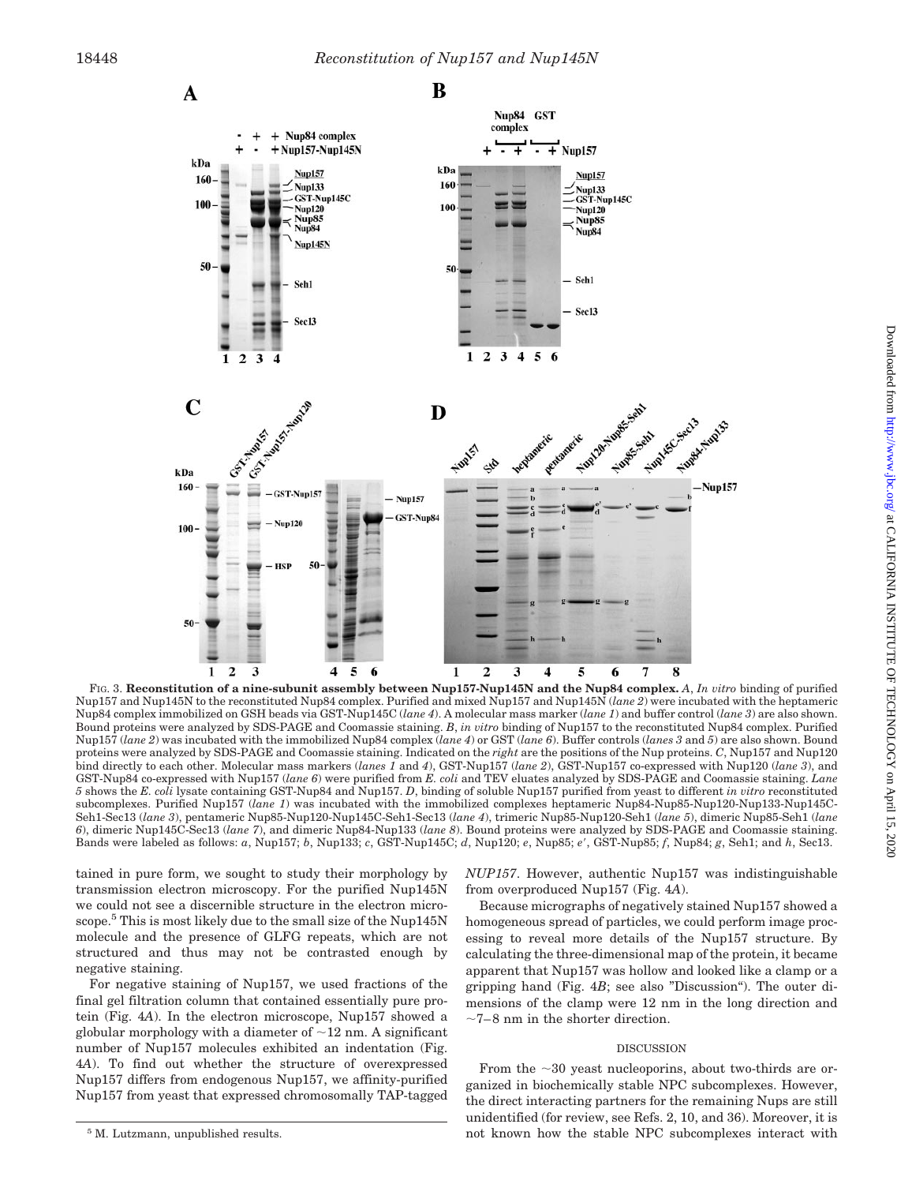

Nup157 and Nup145N to the reconstituted Nup84 complex. Purified and mixed Nup157 and Nup145N (*lane 2*) were incubated with the heptameric Nup84 complex immobilized on GSH beads via GST-Nup145C (*lane 4*). A molecular mass marker (*lane 1*) and buffer control (*lane 3*) are also shown. Bound proteins were analyzed by SDS-PAGE and Coomassie staining. *B*, *in vitro* binding of Nup157 to the reconstituted Nup84 complex. Purified Nup157 (*lane 2*) was incubated with the immobilized Nup84 complex (*lane 4*) or GST (*lane 6*). Buffer controls (*lanes 3* and *5*) are also shown. Bound proteins were analyzed by SDS-PAGE and Coomassie staining. Indicated on the *right* are the positions of the Nup proteins. *C*, Nup157 and Nup120 bind directly to each other. Molecular mass markers (*lanes 1* and *4*), GST-Nup157 (*lane 2*), GST-Nup157 co-expressed with Nup120 (*lane 3*), and GST-Nup84 co-expressed with Nup157 (*lane 6*) were purified from *E. coli* and TEV eluates analyzed by SDS-PAGE and Coomassie staining. *Lane 5* shows the *E. coli* lysate containing GST-Nup84 and Nup157. *D*, binding of soluble Nup157 purified from yeast to different *in vitro* reconstituted subcomplexes. Purified Nup157 (*lane 1*) was incubated with the immobilized complexes heptameric Nup84-Nup85-Nup120-Nup133-Nup145C-Seh1-Sec13 (*lane 3*), pentameric Nup85-Nup120-Nup145C-Seh1-Sec13 (*lane 4*), trimeric Nup85-Nup120-Seh1 (*lane 5*), dimeric Nup85-Seh1 (*lane 6*), dimeric Nup145C-Sec13 (*lane 7*), and dimeric Nup84-Nup133 (*lane 8*). Bound proteins were analyzed by SDS-PAGE and Coomassie staining. Bands were labeled as follows: *a*, Nup157; *b*, Nup133; *c*, GST-Nup145C; *d*, Nup120; *e*, Nup85; *e*, GST-Nup85; *f*, Nup84; *g*, Seh1; and *h*, Sec13.

tained in pure form, we sought to study their morphology by transmission electron microscopy. For the purified Nup145N we could not see a discernible structure in the electron microscope.<sup>5</sup> This is most likely due to the small size of the Nup145N molecule and the presence of GLFG repeats, which are not structured and thus may not be contrasted enough by negative staining.

For negative staining of Nup157, we used fractions of the final gel filtration column that contained essentially pure protein (Fig. 4*A*). In the electron microscope, Nup157 showed a globular morphology with a diameter of  $\sim$  12 nm. A significant number of Nup157 molecules exhibited an indentation (Fig. 4*A*). To find out whether the structure of overexpressed Nup157 differs from endogenous Nup157, we affinity-purified Nup157 from yeast that expressed chromosomally TAP-tagged

Because micrographs of negatively stained Nup157 showed a homogeneous spread of particles, we could perform image processing to reveal more details of the Nup157 structure. By calculating the three-dimensional map of the protein, it became apparent that Nup157 was hollow and looked like a clamp or a gripping hand (Fig. 4*B*; see also "Discussion"). The outer dimensions of the clamp were 12 nm in the long direction and  $\sim\!7\!-\!8$  nm in the shorter direction.

### DISCUSSION

From the  $\sim$ 30 yeast nucleoporins, about two-thirds are organized in biochemically stable NPC subcomplexes. However, the direct interacting partners for the remaining Nups are still unidentified (for review, see Refs. 2, 10, and 36). Moreover, it is <sup>5</sup> M. Lutzmann, unpublished results. The stable NPC subcomplexes interact with 5 M. Lutzmann, unpublished results.

*NUP157*. However, authentic Nup157 was indistinguishable from overproduced Nup157 (Fig. 4*A*).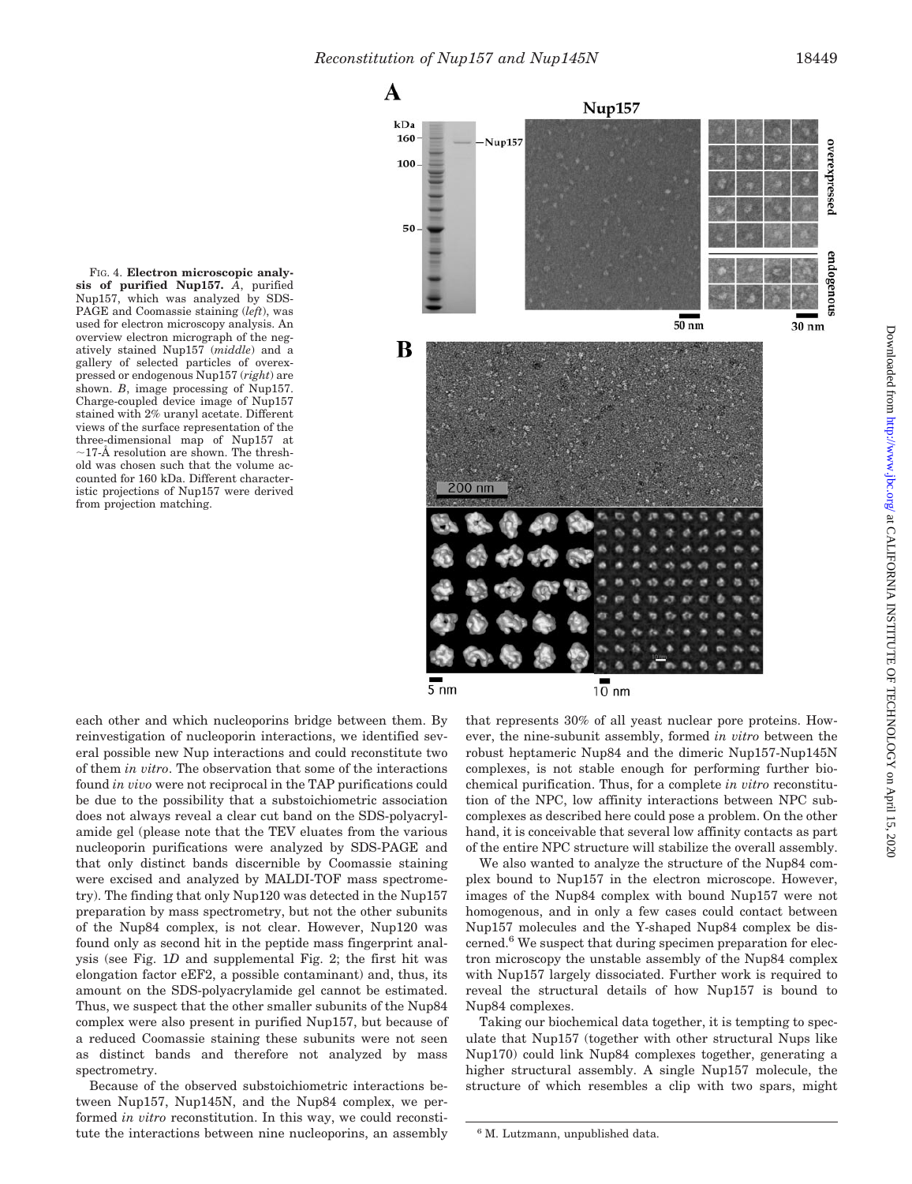

FIG. 4. **Electron microscopic analysis of purified Nup157.** *A*, purified Nup157, which was analyzed by SDS-PAGE and Coomassie staining (*left*), was used for electron microscopy analysis. An overview electron micrograph of the negatively stained Nup157 (*middle*) and a gallery of selected particles of overexpressed or endogenous Nup157 (*right*) are shown. *B*, image processing of Nup157. Charge-coupled device image of Nup157 stained with 2% uranyl acetate. Different views of the surface representation of the three-dimensional map of Nup157 at 17-Å resolution are shown. The threshold was chosen such that the volume accounted for 160 kDa. Different characteristic projections of Nup157 were derived from projection matching.



each other and which nucleoporins bridge between them. By reinvestigation of nucleoporin interactions, we identified several possible new Nup interactions and could reconstitute two of them *in vitro*. The observation that some of the interactions found *in vivo* were not reciprocal in the TAP purifications could be due to the possibility that a substoichiometric association does not always reveal a clear cut band on the SDS-polyacrylamide gel (please note that the TEV eluates from the various nucleoporin purifications were analyzed by SDS-PAGE and that only distinct bands discernible by Coomassie staining were excised and analyzed by MALDI-TOF mass spectrometry). The finding that only Nup120 was detected in the Nup157 preparation by mass spectrometry, but not the other subunits of the Nup84 complex, is not clear. However, Nup120 was found only as second hit in the peptide mass fingerprint analysis (see Fig. 1*D* and supplemental Fig. 2; the first hit was elongation factor eEF2, a possible contaminant) and, thus, its amount on the SDS-polyacrylamide gel cannot be estimated. Thus, we suspect that the other smaller subunits of the Nup84 complex were also present in purified Nup157, but because of a reduced Coomassie staining these subunits were not seen as distinct bands and therefore not analyzed by mass spectrometry.

Because of the observed substoichiometric interactions between Nup157, Nup145N, and the Nup84 complex, we performed *in vitro* reconstitution. In this way, we could reconstitute the interactions between nine nucleoporins, an assembly that represents 30% of all yeast nuclear pore proteins. However, the nine-subunit assembly, formed *in vitro* between the robust heptameric Nup84 and the dimeric Nup157-Nup145N complexes, is not stable enough for performing further biochemical purification. Thus, for a complete *in vitro* reconstitution of the NPC, low affinity interactions between NPC subcomplexes as described here could pose a problem. On the other hand, it is conceivable that several low affinity contacts as part of the entire NPC structure will stabilize the overall assembly.

We also wanted to analyze the structure of the Nup84 complex bound to Nup157 in the electron microscope. However, images of the Nup84 complex with bound Nup157 were not homogenous, and in only a few cases could contact between Nup157 molecules and the Y-shaped Nup84 complex be discerned. $6$  We suspect that during specimen preparation for electron microscopy the unstable assembly of the Nup84 complex with Nup157 largely dissociated. Further work is required to reveal the structural details of how Nup157 is bound to Nup84 complexes.

Taking our biochemical data together, it is tempting to speculate that Nup157 (together with other structural Nups like Nup170) could link Nup84 complexes together, generating a higher structural assembly. A single Nup157 molecule, the structure of which resembles a clip with two spars, might

<sup>6</sup> M. Lutzmann, unpublished data.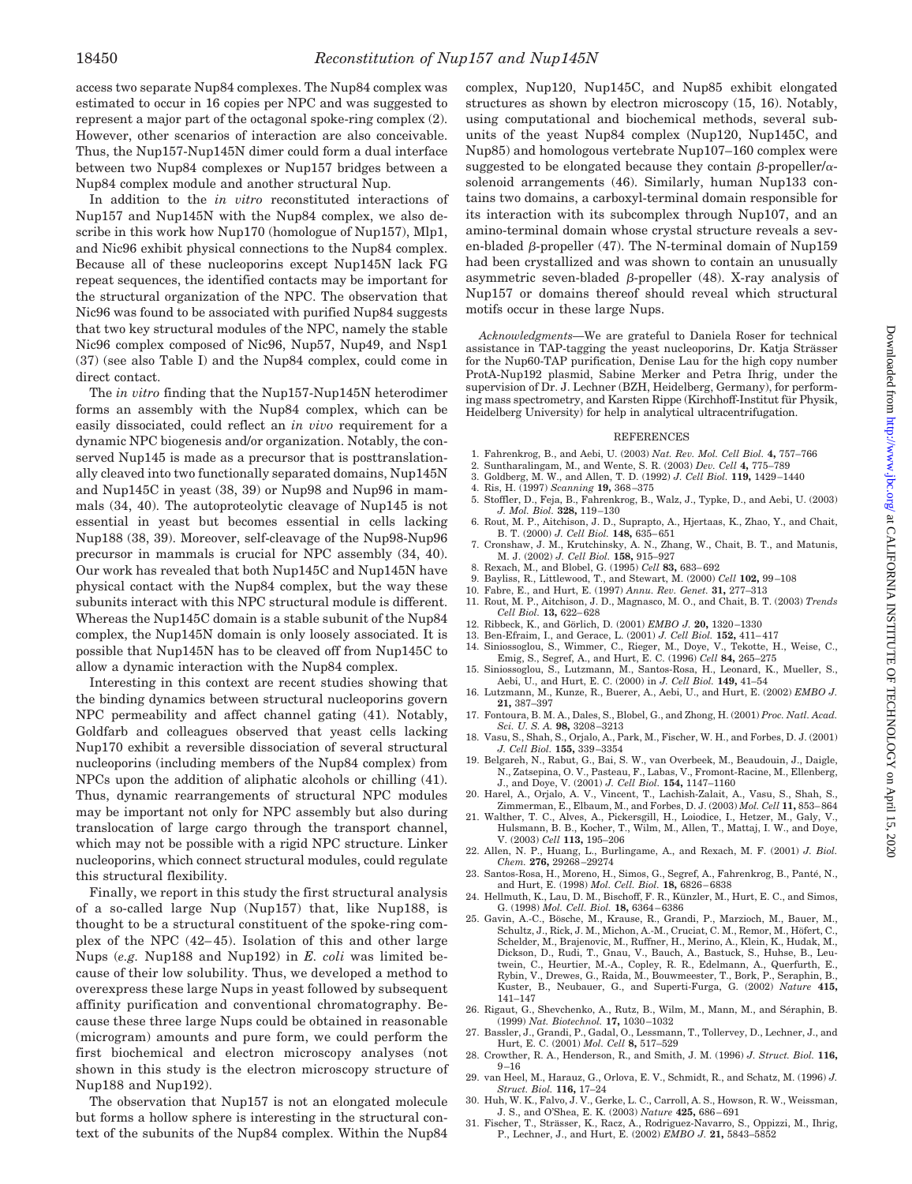access two separate Nup84 complexes. The Nup84 complex was estimated to occur in 16 copies per NPC and was suggested to represent a major part of the octagonal spoke-ring complex (2). However, other scenarios of interaction are also conceivable. Thus, the Nup157-Nup145N dimer could form a dual interface between two Nup84 complexes or Nup157 bridges between a Nup84 complex module and another structural Nup.

In addition to the *in vitro* reconstituted interactions of Nup157 and Nup145N with the Nup84 complex, we also describe in this work how Nup170 (homologue of Nup157), Mlp1, and Nic96 exhibit physical connections to the Nup84 complex. Because all of these nucleoporins except Nup145N lack FG repeat sequences, the identified contacts may be important for the structural organization of the NPC. The observation that Nic96 was found to be associated with purified Nup84 suggests that two key structural modules of the NPC, namely the stable Nic96 complex composed of Nic96, Nup57, Nup49, and Nsp1 (37) (see also Table I) and the Nup84 complex, could come in direct contact.

The *in vitro* finding that the Nup157-Nup145N heterodimer forms an assembly with the Nup84 complex, which can be easily dissociated, could reflect an *in vivo* requirement for a dynamic NPC biogenesis and/or organization. Notably, the conserved Nup145 is made as a precursor that is posttranslationally cleaved into two functionally separated domains, Nup145N and Nup145C in yeast (38, 39) or Nup98 and Nup96 in mammals (34, 40). The autoproteolytic cleavage of Nup145 is not essential in yeast but becomes essential in cells lacking Nup188 (38, 39). Moreover, self-cleavage of the Nup98-Nup96 precursor in mammals is crucial for NPC assembly (34, 40). Our work has revealed that both Nup145C and Nup145N have physical contact with the Nup84 complex, but the way these subunits interact with this NPC structural module is different. Whereas the Nup145C domain is a stable subunit of the Nup84 complex, the Nup145N domain is only loosely associated. It is possible that Nup145N has to be cleaved off from Nup145C to allow a dynamic interaction with the Nup84 complex.

Interesting in this context are recent studies showing that the binding dynamics between structural nucleoporins govern NPC permeability and affect channel gating (41). Notably, Goldfarb and colleagues observed that yeast cells lacking Nup170 exhibit a reversible dissociation of several structural nucleoporins (including members of the Nup84 complex) from NPCs upon the addition of aliphatic alcohols or chilling (41). Thus, dynamic rearrangements of structural NPC modules may be important not only for NPC assembly but also during translocation of large cargo through the transport channel, which may not be possible with a rigid NPC structure. Linker nucleoporins, which connect structural modules, could regulate this structural flexibility.

Finally, we report in this study the first structural analysis of a so-called large Nup (Nup157) that, like Nup188, is thought to be a structural constituent of the spoke-ring complex of the NPC (42-45). Isolation of this and other large Nups (*e.g.* Nup188 and Nup192) in *E. coli* was limited because of their low solubility. Thus, we developed a method to overexpress these large Nups in yeast followed by subsequent affinity purification and conventional chromatography. Because these three large Nups could be obtained in reasonable (microgram) amounts and pure form, we could perform the first biochemical and electron microscopy analyses (not shown in this study is the electron microscopy structure of Nup188 and Nup192).

The observation that Nup157 is not an elongated molecule but forms a hollow sphere is interesting in the structural context of the subunits of the Nup84 complex. Within the Nup84

complex, Nup120, Nup145C, and Nup85 exhibit elongated structures as shown by electron microscopy (15, 16). Notably, using computational and biochemical methods, several subunits of the yeast Nup84 complex (Nup120, Nup145C, and Nup85) and homologous vertebrate Nup107–160 complex were suggested to be elongated because they contain  $\beta$ -propeller/ $\alpha$ solenoid arrangements (46). Similarly, human Nup133 contains two domains, a carboxyl-terminal domain responsible for its interaction with its subcomplex through Nup107, and an amino-terminal domain whose crystal structure reveals a seven-bladed  $\beta$ -propeller (47). The N-terminal domain of Nup159 had been crystallized and was shown to contain an unusually asymmetric seven-bladed  $\beta$ -propeller (48). X-ray analysis of Nup157 or domains thereof should reveal which structural motifs occur in these large Nups.

*Acknowledgments—*We are grateful to Daniela Roser for technical assistance in TAP-tagging the yeast nucleoporins, Dr. Katja Strässer for the Nup60-TAP purification, Denise Lau for the high copy number ProtA-Nup192 plasmid, Sabine Merker and Petra Ihrig, under the supervision of Dr. J. Lechner (BZH, Heidelberg, Germany), for performing mass spectrometry, and Karsten Rippe (Kirchhoff-Institut für Physik, Heidelberg University) for help in analytical ultracentrifugation.

#### **REFERENCES**

- 1. Fahrenkrog, B., and Aebi, U. (2003) *Nat. Rev. Mol. Cell Biol.* **4,** 757–766
- 2. Suntharalingam, M., and Wente, S. R. (2003) *Dev. Cell* **4,** 775–789
- 3. Goldberg, M. W., and Allen, T. D. (1992) *J. Cell Biol.* **119,** 1429 –1440
- 4. Ris, H. (1997) *Scanning* **19,** 368 –375
- 5. Stoffler, D., Feja, B., Fahrenkrog, B., Walz, J., Typke, D., and Aebi, U. (2003) *J. Mol. Biol.* **328,** 119 –130
- 6. Rout, M. P., Aitchison, J. D., Suprapto, A., Hjertaas, K., Zhao, Y., and Chait, B. T. (2000) *J. Cell Biol.* **148,** 635– 651
- 7. Cronshaw, J. M., Krutchinsky, A. N., Zhang, W., Chait, B. T., and Matunis, M. J. (2002) *J. Cell Biol.* **158,** 915–927
- 8. Rexach, M., and Blobel, G. (1995) *Cell* **83,** 683– 692
- 9. Bayliss, R., Littlewood, T., and Stewart, M. (2000) *Cell* **102,** 99 –108
- 10. Fabre, E., and Hurt, E. (1997) *Annu. Rev. Genet.* **31,** 277–313 11. Rout, M. P., Aitchison, J. D., Magnasco, M. O., and Chait, B. T. (2003) *Trends*
- *Cell Biol.* **13,** 622– 628
- 12. Ribbeck, K., and Görlich, D. (2001) *EMBO J.* 20, 1320-1330
- 13. Ben-Efraim, I., and Gerace, L. (2001) *J. Cell Biol.* **152,** 411– 417 14. Siniossoglou, S., Wimmer, C., Rieger, M., Doye, V., Tekotte, H., Weise, C.,
- Emig, S., Segref, A., and Hurt, E. C. (1996) *Cell* **84,** 265–275 15. Siniossoglou, S., Lutzmann, M., Santos-Rosa, H., Leonard, K., Mueller, S.,
- Aebi, U., and Hurt, E. C. (2000) in *J. Cell Biol.* **149,** 41–54 16. Lutzmann, M., Kunze, R., Buerer, A., Aebi, U., and Hurt, E. (2002) *EMBO J.*
- **21,** 387–397
- 17. Fontoura, B. M. A., Dales, S., Blobel, G., and Zhong, H. (2001) *Proc. Natl. Acad. Sci. U. S. A.* **98,** 3208 –3213
- 18. Vasu, S., Shah, S., Orjalo, A., Park, M., Fischer, W. H., and Forbes, D. J. (2001) *J. Cell Biol.* **155,** 339 –3354
- 19. Belgareh, N., Rabut, G., Bai, S. W., van Overbeek, M., Beaudouin, J., Daigle, N., Zatsepina, O. V., Pasteau, F., Labas, V., Fromont-Racine, M., Ellenberg, J., and Doye, V. (2001) *J. Cell Biol.* **154,** 1147–1160
- 20. Harel, A., Orjalo, A. V., Vincent, T., Lachish-Zalait, A., Vasu, S., Shah, S., Zimmerman, E., Elbaum, M., and Forbes, D. J. (2003) *Mol. Cell* **11,** 853– 864
- 21. Walther, T. C., Alves, A., Pickersgill, H., Loiodice, I., Hetzer, M., Galy, V., Hulsmann, B. B., Kocher, T., Wilm, M., Allen, T., Mattaj, I. W., and Doye, V. (2003) *Cell* **113,** 195–206
- 22. Allen, N. P., Huang, L., Burlingame, A., and Rexach, M. F. (2001) *J. Biol. Chem.* **276,** 29268 –29274
- 23. Santos-Rosa, H., Moreno, H., Simos, G., Segref, A., Fahrenkrog, B., Panté, N., and Hurt, E. (1998) *Mol. Cell. Biol.* **18,** 6826 – 6838
- 24. Hellmuth, K., Lau, D. M., Bischoff, F. R., Künzler, M., Hurt, E. C., and Simos, G. (1998) *Mol. Cell. Biol.* **18,** 6364 – 6386
- 25. Gavin, A.-C., Bösche, M., Krause, R., Grandi, P., Marzioch, M., Bauer, M., Schultz, J., Rick, J. M., Michon, A.-M., Cruciat, C. M., Remor, M., Höfert, C., Schelder, M., Brajenovic, M., Ruffner, H., Merino, A., Klein, K., Hudak, M., Dickson, D., Rudi, T., Gnau, V., Bauch, A., Bastuck, S., Huhse, B., Leutwein, C., Heurtier, M.-A., Copley, R. R., Edelmann, A., Querfurth, E., Rybin, V., Drewes, G., Raida, M., Bouwmeester, T., Bork, P., Seraphin, B., Kuster, B., Neubauer, G., and Superti-Furga, G. (2002) *Nature* **415,** 141–147
- 26. Rigaut, G., Shevchenko, A., Rutz, B., Wilm, M., Mann, M., and Séraphin, B. (1999) *Nat. Biotechnol.* **17,** 1030 –1032
- 27. Bassler, J., Grandi, P., Gadal, O., Lessmann, T., Tollervey, D., Lechner, J., and Hurt, E. C. (2001) *Mol. Cell* **8,** 517–529
- 28. Crowther, R. A., Henderson, R., and Smith, J. M. (1996) *J. Struct. Biol.* **116,**  $9 - 16$
- 29. van Heel, M., Harauz, G., Orlova, E. V., Schmidt, R., and Schatz, M. (1996) *J. Struct. Biol.* **116,** 17–24
- 30. Huh, W. K., Falvo, J. V., Gerke, L. C., Carroll, A. S., Howson, R. W., Weissman, J. S., and O'Shea, E. K. (2003) *Nature* **425,** 686 – 691
- 31. Fischer, T., Stra¨sser, K., Racz, A., Rodriguez-Navarro, S., Oppizzi, M., Ihrig, P., Lechner, J., and Hurt, E. (2002) *EMBO J.* **21,** 5843–5852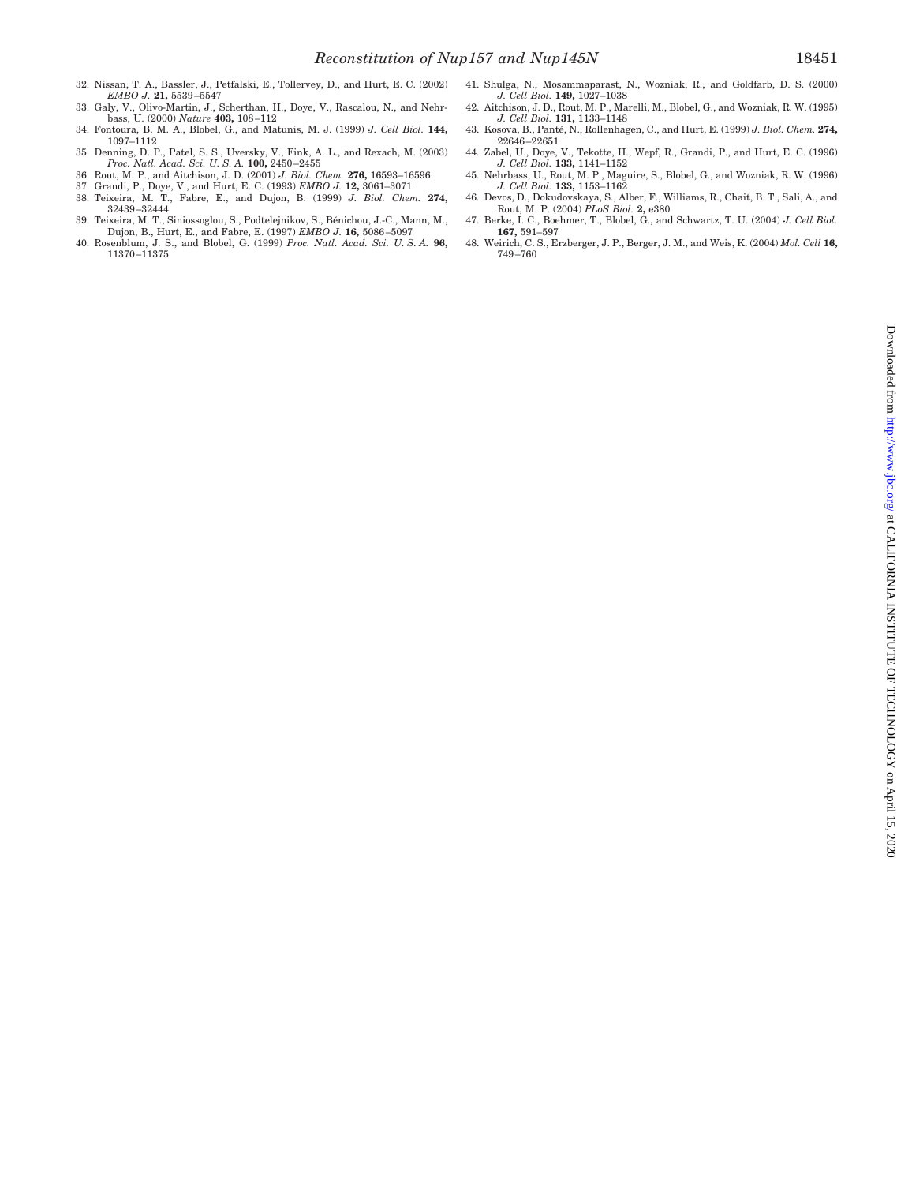- 32. Nissan, T. A., Bassler, J., Petfalski, E., Tollervey, D., and Hurt, E. C. (2002) *EMBO J.* **21,** 5539 –5547
- 33. Galy, V., Olivo-Martin, J., Scherthan, H., Doye, V., Rascalou, N., and Nehrbass, U. (2000) *Nature* **403,** 108 –112
- 34. Fontoura, B. M. A., Blobel, G., and Matunis, M. J. (1999) *J. Cell Biol.* **144,** 1097–1112
- 35. Denning, D. P., Patel, S. S., Uversky, V., Fink, A. L., and Rexach, M. (2003) *Proc. Natl. Acad. Sci. U. S. A.* **100,** 2450 –2455
- 36. Rout, M. P., and Aitchison, J. D. (2001) *J. Biol. Chem.* **276,** 16593–16596
- 37. Grandi, P., Doye, V., and Hurt, E. C. (1993) *EMBO J.* **12,** 3061–3071
- 38. Teixeira, M. T., Fabre, E., and Dujon, B. (1999) *J. Biol. Chem.* **274,** 32439 –32444
- 39. Teixeira, M. T., Siniossoglou, S., Podtelejnikov, S., Bénichou, J.-C., Mann, M., Dujon, B., Hurt, E., and Fabre, E. (1997) *EMBO J.* **16,** 5086 –5097
- 40. Rosenblum, J. S., and Blobel, G. (1999) *Proc. Natl. Acad. Sci. U. S. A.* **96,** 11370 –11375
- 41. Shulga, N., Mosammaparast, N., Wozniak, R., and Goldfarb, D. S. (2000) *J. Cell Biol.* **149,** 1027–1038
- 42. Aitchison, J. D., Rout, M. P., Marelli, M., Blobel, G., and Wozniak, R. W. (1995) *J. Cell Biol.* **131,** 1133–1148
- 43. Kosova, B., Pante´, N., Rollenhagen, C., and Hurt, E. (1999) *J. Biol. Chem.* **274,** 22646 –22651
- 44. Zabel, U., Doye, V., Tekotte, H., Wepf, R., Grandi, P., and Hurt, E. C. (1996) *J. Cell Biol.* **133,** 1141–1152
- 45. Nehrbass, U., Rout, M. P., Maguire, S., Blobel, G., and Wozniak, R. W. (1996) *J. Cell Biol.* **133,** 1153–1162
- 46. Devos, D., Dokudovskaya, S., Alber, F., Williams, R., Chait, B. T., Sali, A., and Rout, M. P. (2004) *PLoS Biol.* **2,** e380 47. Berke, I. C., Boehmer, T., Blobel, G., and Schwartz, T. U. (2004) *J. Cell Biol.*
- **167,** 591–597
- 48. Weirich, C. S., Erzberger, J. P., Berger, J. M., and Weis, K. (2004) *Mol. Cell* **16,** 749 –760